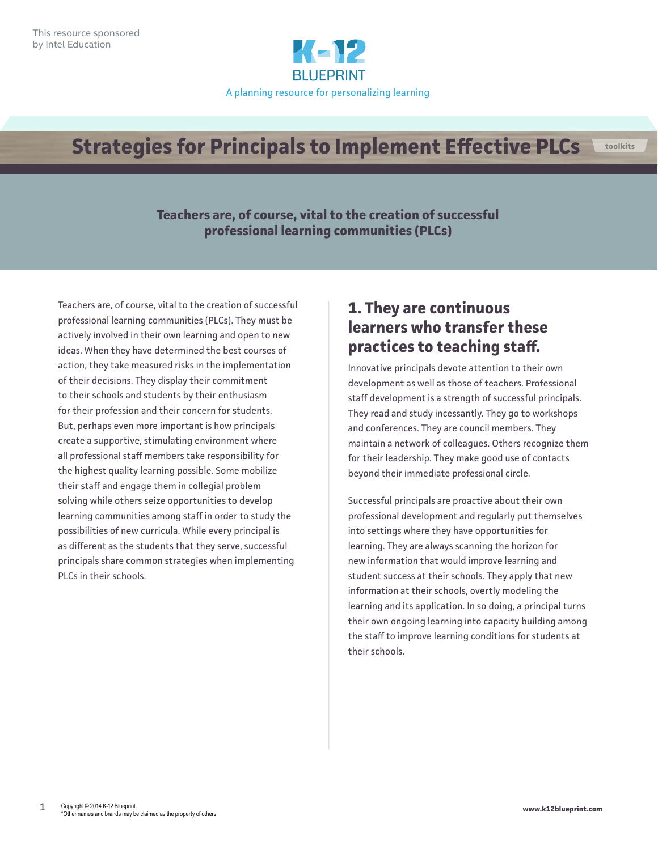

#### **Strategies for Principals to Implement Effective PLCs toolkits**

**Teachers are, of course, vital to the creation of successful professional learning communities (PLCs)**

Teachers are, of course, vital to the creation of successful professional learning communities (PLCs). They must be actively involved in their own learning and open to new ideas. When they have determined the best courses of action, they take measured risks in the implementation of their decisions. They display their commitment to their schools and students by their enthusiasm for their profession and their concern for students. But, perhaps even more important is how principals create a supportive, stimulating environment where all professional staff members take responsibility for the highest quality learning possible. Some mobilize their staff and engage them in collegial problem solving while others seize opportunities to develop learning communities among staff in order to study the possibilities of new curricula. While every principal is as different as the students that they serve, successful principals share common strategies when implementing PLCs in their schools.

#### **1. They are continuous learners who transfer these practices to teaching staff.**

Innovative principals devote attention to their own development as well as those of teachers. Professional staff development is a strength of successful principals. They read and study incessantly. They go to workshops and conferences. They are council members. They maintain a network of colleagues. Others recognize them for their leadership. They make good use of contacts beyond their immediate professional circle.

Successful principals are proactive about their own professional development and regularly put themselves into settings where they have opportunities for learning. They are always scanning the horizon for new information that would improve learning and student success at their schools. They apply that new information at their schools, overtly modeling the learning and its application. In so doing, a principal turns their own ongoing learning into capacity building among the staff to improve learning conditions for students at their schools.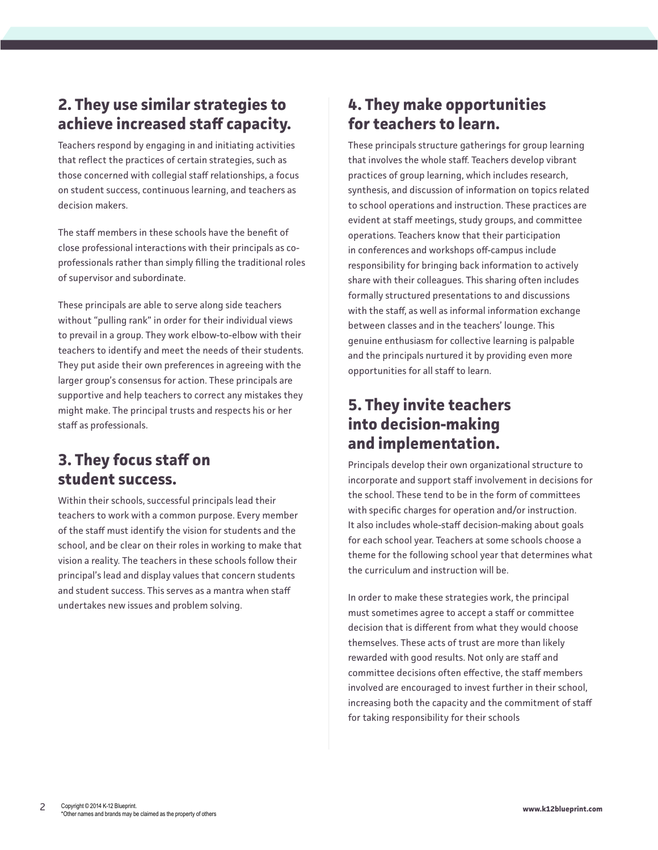# **2. They use similar strategies to achieve increased staff capacity.**

Teachers respond by engaging in and initiating activities that reflect the practices of certain strategies, such as those concerned with collegial staff relationships, a focus on student success, continuous learning, and teachers as decision makers.

The staff members in these schools have the benefit of close professional interactions with their principals as coprofessionals rather than simply filling the traditional roles of supervisor and subordinate.

These principals are able to serve along side teachers without "pulling rank" in order for their individual views to prevail in a group. They work elbow-to-elbow with their teachers to identify and meet the needs of their students. They put aside their own preferences in agreeing with the larger group's consensus for action. These principals are supportive and help teachers to correct any mistakes they might make. The principal trusts and respects his or her staff as professionals.

### **3. They focus staff on student success.**

Within their schools, successful principals lead their teachers to work with a common purpose. Every member of the staff must identify the vision for students and the school, and be clear on their roles in working to make that vision a reality. The teachers in these schools follow their principal's lead and display values that concern students and student success. This serves as a mantra when staff undertakes new issues and problem solving.

# **4. They make opportunities for teachers to learn.**

These principals structure gatherings for group learning that involves the whole staff. Teachers develop vibrant practices of group learning, which includes research, synthesis, and discussion of information on topics related to school operations and instruction. These practices are evident at staff meetings, study groups, and committee operations. Teachers know that their participation in conferences and workshops off-campus include responsibility for bringing back information to actively share with their colleagues. This sharing often includes formally structured presentations to and discussions with the staff, as well as informal information exchange between classes and in the teachers' lounge. This genuine enthusiasm for collective learning is palpable and the principals nurtured it by providing even more opportunities for all staff to learn.

# **5. They invite teachers into decision-making and implementation.**

Principals develop their own organizational structure to incorporate and support staff involvement in decisions for the school. These tend to be in the form of committees with specific charges for operation and/or instruction. It also includes whole-staff decision-making about goals for each school year. Teachers at some schools choose a theme for the following school year that determines what the curriculum and instruction will be.

In order to make these strategies work, the principal must sometimes agree to accept a staff or committee decision that is different from what they would choose themselves. These acts of trust are more than likely rewarded with good results. Not only are staff and committee decisions often effective, the staff members involved are encouraged to invest further in their school, increasing both the capacity and the commitment of staff for taking responsibility for their schools